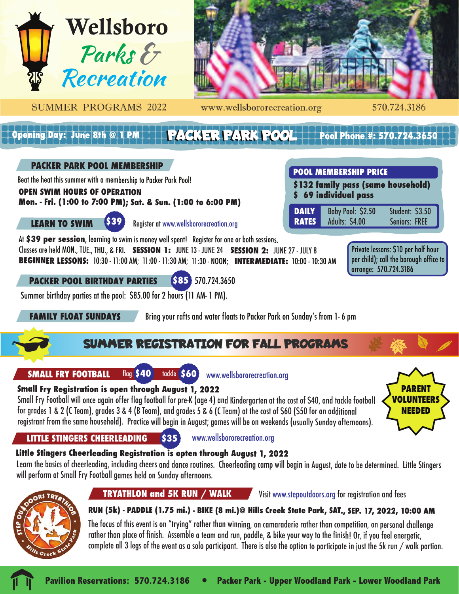



**POOL MEMBERSHIP PRICE**

**\$ 69 individual pass**

**DAILY RATES**

**\$132 family pass (same household)**

Baby Pool: \$2.50 Student: \$3.50 Adults: \$4.00 Seniors: FREE

SUMMER PROGRAMS 2022 www.wellsbororecreation.org 570.724.3186

#### **Opening Day: June 8th @ 1 FACKER PARK FOOL Pool Phone #: 570.724.3650**

#### **PACKER PARK POOL MEMBERSHIP**

Beat the heat this summer with a membership to Packer Park Pool!

#### **OPEN SWIM HOURS OF OPERATION**

**Mon. - Fri. (1:00 to 7:00 PM); Sat. & Sun. (1:00 to 6:00 PM)**

| <b>LEARN TO SWIM</b> | Œ |
|----------------------|---|
|----------------------|---|

**\$39** Register at www.wellsbororecreation.org

At **\$39 per session**, learning to swim is money well spent! Register for one or both sessions. Classes are held MON., TUE., THU., & FRI. **SESSION 1:** JUNE 13 - JUNE 24 **SESSION 2:** JUNE 27 - JULY 8 **BEGINNER LESSONS:** 10:30 - 11:00 AM; 11:00 - 11:30 AM; 11:30 - NOON; **INTERMEDIATE:** 10:00 - 10:30 AM

#### Private lessons: \$10 per half hour per child); call the borough office to arrange: 570.724.3186

#### **PACKER POOL BIRTHDAY PARTIES \$85** 570.724.3650

Summer birthday parties at the pool: \$85.00 for 2 hours (11 AM- 1 PM).

**FAMILY FLOAT SUNDAYS** Bring your rafts and water floats to Packer Park on Sunday's from 1-6 pm

## **SUMMER REGISTRATION FOR FALL PROGRAMS**

**SMALL FRY FOOTBALL** flag \$40 tackle \$60 www.wellsbororecreation.org **\$40 \$60**

**Small Fry Registration is open through August 1, 2022**

Small Fry Football will once again offer flag football for pre-K (age 4) and Kindergarten at the cost of \$40, and tackle football for grades 1 & 2 (C Team), grades 3 & 4 (B Team), and grades 5 & 6 (C Team) at the cost of \$60 (\$50 for an additional registrant from the same household). Practice will begin in August; games will be on weekends (usually Sunday afternoons).



#### **LITTLE STINGERS CHEERLEADING \$35**

www.wellsbororecreation.org

## **Little Stingers Cheerleading Registration is opten through August 1, 2022**

Learn the basics of cheerleading, including cheers and dance routines. Cheerleading camp will begin in August, date to be determined. Little Stingers will perform at Small Fry Football games held on Sunday afternoons.



## **TRYATHLON and 5K RUN / WALK**

Visit www.stepoutdoors.org for registration and fees

#### **RUN (5k) - PADDLE (1.75 mi.) - BIKE (8 mi.)@ Hills Creek State Park, SAT., SEP. 17, 2022, 10:00 AM**

The focus of this event is on "trying" rather than winning, on camaraderie rather than competition, on personal challenge rather than place of finish. Assemble a team and run, paddle, & bike your way to the finish! Or, if you feel energetic, complete all 3 legs of the event as a solo participant. There is also the option to participate in just the 5k run / walk portion.